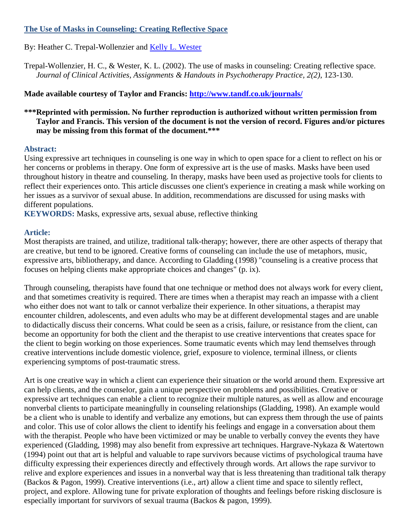# **The Use of Masks in Counseling: Creating Reflective Space**

By: Heather C. Trepal-Wollenzier and [Kelly L. Wester](https://libres.uncg.edu/ir/uncg/clist.aspx?id=1074)

Trepal-Wollenzier, H. C., & Wester, K. L. (2002). The use of masks in counseling: Creating reflective space. *Journal of Clinical Activities, Assignments & Handouts in Psychotherapy Practice, 2(2)*, 123-130.

**Made available courtesy of Taylor and Francis:<http://www.tandf.co.uk/journals/>**

# **\*\*\*Reprinted with permission. No further reproduction is authorized without written permission from Taylor and Francis. This version of the document is not the version of record. Figures and/or pictures may be missing from this format of the document.\*\*\***

### **Abstract:**

Using expressive art techniques in counseling is one way in which to open space for a client to reflect on his or her concerns or problems in therapy. One form of expressive art is the use of masks. Masks have been used throughout history in theatre and counseling. In therapy, masks have been used as projective tools for clients to reflect their experiences onto. This article discusses one client's experience in creating a mask while working on her issues as a survivor of sexual abuse. In addition, recommendations are discussed for using masks with different populations.

**KEYWORDS:** Masks, expressive arts, sexual abuse, reflective thinking

# **Article:**

Most therapists are trained, and utilize, traditional talk-therapy; however, there are other aspects of therapy that are creative, but tend to be ignored. Creative forms of counseling can include the use of metaphors, music, expressive arts, bibliotherapy, and dance. According to Gladding (1998) "counseling is a creative process that focuses on helping clients make appropriate choices and changes" (p. ix).

Through counseling, therapists have found that one technique or method does not always work for every client, and that sometimes creativity is required. There are times when a therapist may reach an impasse with a client who either does not want to talk or cannot verbalize their experience. In other situations, a therapist may encounter children, adolescents, and even adults who may be at different developmental stages and are unable to didactically discuss their concerns. What could be seen as a crisis, failure, or resistance from the client, can become an opportunity for both the client and the therapist to use creative interventions that creates space for the client to begin working on those experiences. Some traumatic events which may lend themselves through creative interventions include domestic violence, grief, exposure to violence, terminal illness, or clients experiencing symptoms of post-traumatic stress.

Art is one creative way in which a client can experience their situation or the world around them. Expressive art can help clients, and the counselor, gain a unique perspective on problems and possibilities. Creative or expressive art techniques can enable a client to recognize their multiple natures, as well as allow and encourage nonverbal clients to participate meaningfully in counseling relationships (Gladding, 1998). An example would be a client who is unable to identify and verbalize any emotions, but can express them through the use of paints and color. This use of color allows the client to identify his feelings and engage in a conversation about them with the therapist. People who have been victimized or may be unable to verbally convey the events they have experienced (Gladding, 1998) may also benefit from expressive art techniques. Hargrave-Nykaza & Watertown (1994) point out that art is helpful and valuable to rape survivors because victims of psychological trauma have difficulty expressing their experiences directly and effectively through words. Art allows the rape survivor to relive and explore experiences and issues in a nonverbal way that is less threatening than traditional talk therapy (Backos & Pagon, 1999). Creative interventions (i.e., art) allow a client time and space to silently reflect, project, and explore. Allowing tune for private exploration of thoughts and feelings before risking disclosure is especially important for survivors of sexual trauma (Backos & pagon, 1999).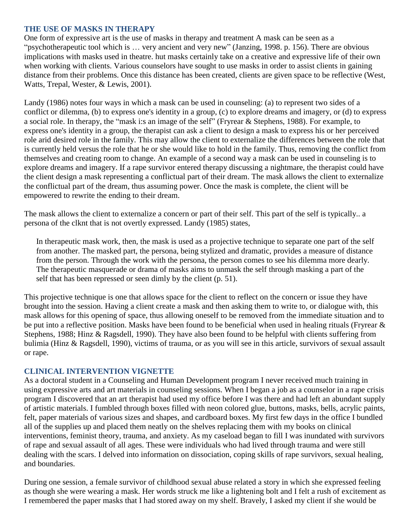### **THE USE OF MASKS IN THERAPY**

One form of expressive art is the use of masks in therapy and treatment A mask can be seen as a "psychotherapeutic tool which is … very ancient and very new" (Janzing, 1998. p. 156). There are obvious implications with masks used in theatre. hut masks certainly take on a creative and expressive life of their own when working with clients. Various counselors have sought to use masks in order to assist clients in gaining distance from their problems. Once this distance has been created, clients are given space to be reflective (West, Watts, Trepal, Wester, & Lewis, 2001).

Landy (1986) notes four ways in which a mask can be used in counseling: (a) to represent two sides of a conflict or dilemma, (b) to express one's identity in a group, (c) to explore dreams and imagery, or (d) to express a social role. In therapy, the "mask i:s an image of the self" (Fryrear & Stephens, 1988). For example, to express one's identity in a group, the therapist can ask a client to design a mask to express his or her perceived role arid desired role in the family. This may allow the client to externalize the differences between the role that is currently held versus the role that he or she would like to hold in the family. Thus, removing the conflict from themselves and creating room to change. An example of a second way a mask can be used in counseling is to explore dreams and imagery. If a rape survivor entered therapy discussing a nightmare, the therapist could have the client design a mask representing a conflictual part of their dream. The mask allows the client to externalize the conflictual part of the dream, thus assuming power. Once the mask is complete, the client will be empowered to rewrite the ending to their dream.

The mask allows the client to externalize a concern or part of their self. This part of the self is typically.. a persona of the clknt that is not overtly expressed. Landy (1985) states,

In therapeutic mask work, then, the mask is used as a projective technique to separate one part of the self from another. The masked part, the persona, being stylized and dramatic, provides a measure of distance from the person. Through the work with the persona, the person comes to see his dilemma more dearly. The therapeutic masquerade or drama of masks aims to unmask the self through masking a part of the self that has been repressed or seen dimly by the client (p. 51).

This projective technique is one that allows space for the client to reflect on the concern or issue they have brought into the session. Having a client create a mask and then asking them to write to, or dialogue with, this mask allows for this opening of space, thus allowing oneself to be removed from the immediate situation and to be put into a reflective position. Masks have been found to be beneficial when used in healing rituals (Fryrear & Stephens, 1988; Hinz & Ragsdell, 1990). They have also been found to be helpful with clients suffering from bulimia (Hinz & Ragsdell, 1990), victims of trauma, or as you will see in this article, survivors of sexual assault or rape.

### **CLINICAL INTERVENTION VIGNETTE**

As a doctoral student in a Counseling and Human Development program I never received much training in using expressive arts and art materials in counseling sessions. When I began a job as a counselor in a rape crisis program I discovered that an art therapist had used my office before I was there and had left an abundant supply of artistic materials. I fumbled through boxes filled with neon colored glue, buttons, masks, bells, acrylic paints, felt, paper materials of various sizes and shapes, and cardboard boxes. My first few days in the office I bundled all of the supplies up and placed them neatly on the shelves replacing them with my books on clinical interventions, feminist theory, trauma, and anxiety. As my caseload began to fill I was inundated with survivors of rape and sexual assault of all ages. These were individuals who had lived through trauma and were still dealing with the scars. I delved into information on dissociation, coping skills of rape survivors, sexual healing, and boundaries.

During one session, a female survivor of childhood sexual abuse related a story in which she expressed feeling as though she were wearing a mask. Her words struck me like a lightening bolt and I felt a rush of excitement as I remembered the paper masks that I had stored away on my shelf. Bravely, I asked my client if she would be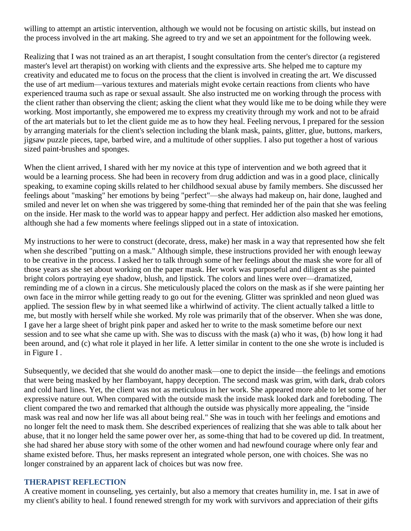willing to attempt an artistic intervention, although we would not be focusing on artistic skills, but instead on the process involved in the art making. She agreed to try and we set an appointment for the following week.

Realizing that I was not trained as an art therapist, I sought consultation from the center's director (a registered master's level art therapist) on working with clients and the expressive arts. She helped me to capture my creativity and educated me to focus on the process that the client is involved in creating the art. We discussed the use of art medium—various textures and materials might evoke certain reactions from clients who have experienced trauma such as rape or sexual assault. She also instructed me on working through the process with the client rather than observing the client; asking the client what they would like me to be doing while they were working. Most importantly, she empowered me to express my creativity through my work and not to be afraid of the art materials but to let the client guide me as to how they heal. Feeling nervous, I prepared for the session by arranging materials for the client's selection including the blank mask, paints, glitter, glue, buttons, markers, jigsaw puzzle pieces, tape, barbed wire, and a multitude of other supplies. I also put together a host of various sized paint-brushes and sponges.

When the client arrived, I shared with her my novice at this type of intervention and we both agreed that it would be a learning process. She had been in recovery from drug addiction and was in a good place, clinically speaking, to examine coping skills related to her childhood sexual abuse by family members. She discussed her feelings about "masking" her emotions by being "perfect"—she always had makeup on, hair done, laughed and smiled and never let on when she was triggered by some-thing that reminded her of the pain that she was feeling on the inside. Her mask to the world was to appear happy and perfect. Her addiction also masked her emotions, although she had a few moments where feelings slipped out in a state of intoxication.

My instructions to her were to construct (decorate, dress, make) her mask in a way that represented how she felt when she described "putting on a mask." Although simple, these instructions provided her with enough leeway to be creative in the process. I asked her to talk through some of her feelings about the mask she wore for all of those years as she set about working on the paper mask. Her work was purposeful and diligent as she painted bright colors portraying eye shadow, blush, and lipstick. The colors and lines were over—dramatized, reminding me of a clown in a circus. She meticulously placed the colors on the mask as if she were painting her own face in the mirror while getting ready to go out for the evening. Glitter was sprinkled and neon glued was applied. The session flew by in what seemed like a whirlwind of activity. The client actually talked a little to me, but mostly with herself while she worked. My role was primarily that of the observer. When she was done, I gave her a large sheet of bright pink paper and asked her to write to the mask sometime before our next session and to see what she came up with. She was to discuss with the mask (a) who it was, (b) how long it had been around, and (c) what role it played in her life. A letter similar in content to the one she wrote is included is in Figure I .

Subsequently, we decided that she would do another mask—one to depict the inside—the feelings and emotions that were being masked by her flamboyant, happy deception. The second mask was grim, with dark, drab colors and cold hard lines. Yet, the client was not as meticulous in her work. She appeared more able to let some of her expressive nature out. When compared with the outside mask the inside mask looked dark and foreboding. The client compared the two and remarked that although the outside was physically more appealing, the "inside mask was real and now her life was all about being real." She was in touch with her feelings and emotions and no longer felt the need to mask them. She described experiences of realizing that she was able to talk about her abuse, that it no longer held the same power over her, as some-thing that had to be covered up did. In treatment, she had shared her abuse story with some of the other women and had newfound courage where only fear and shame existed before. Thus, her masks represent an integrated whole person, one with choices. She was no longer constrained by an apparent lack of choices but was now free.

#### **THERAPIST REFLECTION**

A creative moment in counseling, yes certainly, but also a memory that creates humility in, me. I sat in awe of my client's ability to heal. I found renewed strength for my work with survivors and appreciation of their gifts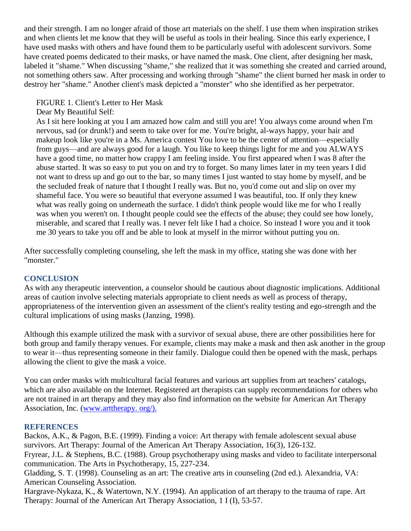and their strength. I am no longer afraid of those art materials on the shelf. I use them when inspiration strikes and when clients let me know that they will be useful as tools in their healing. Since this early experience, I have used masks with others and have found them to be particularly useful with adolescent survivors. Some have created poems dedicated to their masks, or have named the mask. One client, after designing her mask, labeled it "shame." When discussing "shame," she realized that it was something she created and carried around, not something others saw. After processing and working through "shame" the client burned her mask in order to destroy her "shame." Another client's mask depicted a "monster" who she identified as her perpetrator.

# FIGURE 1. Client's Letter to Her Mask

# Dear My Beautiful Self:

As I sit here looking at you I am amazed how calm and still you are! You always come around when I'm nervous, sad (or drunk!) and seem to take over for me. You're bright, al-ways happy, your hair and makeup look like you're in a Ms. America contest You love to be the center of attention—especially from guys—and are always good for a laugh. You like to keep things light for me and you ALWAYS have a good time, no matter how crappy I am feeling inside. You first appeared when I was 8 after the abuse started. It was so easy to put you on and try to forget. So many limes later in my teen years I did not want to dress up and go out to the bar, so many times I just wanted to stay home by myself, and be the secluded freak of nature that I thought I really was. But no, you'd come out and slip on over my shameful face. You were so beautiful that everyone assumed I was beautiful, too. If only they knew what was really going on underneath the surface. I didn't think people would like me for who I really was when you weren't on. I thought people could see the effects of the abuse; they could see how lonely, miserable, and scared that I really was. I never felt like I had a choice. So instead I wore you and it took me 30 years to take you off and be able to look at myself in the mirror without putting you on.

After successfully completing counseling, she left the mask in my office, stating she was done with her "monster."

### **CONCLUSION**

As with any therapeutic intervention, a counselor should be cautious about diagnostic implications. Additional areas of caution involve selecting materials appropriate to client needs as well as process of therapy, appropriateness of the intervention given an assessment of the client's reality testing and ego-strength and the cultural implications of using masks (Janzing, 1998).

Although this example utilized the mask with a survivor of sexual abuse, there are other possibilities here for both group and family therapy venues. For example, clients may make a mask and then ask another in the group to wear it—thus representing someone in their family. Dialogue could then be opened with the mask, perhaps allowing the client to give the mask a voice.

You can order masks with multicultural facial features and various art supplies from art teachers' catalogs, which are also available on the Internet. Registered art therapists can supply recommendations for others who are not trained in art therapy and they may also find information on the website for American Art Therapy Association, Inc. [\(www.arttherapy. o](http://www.arttherapy.org/).)rg/).

### **REFERENCES**

Backos, A.K., & Pagon, B.E. (1999). Finding a voice: Art therapy with female adolescent sexual abuse survivors. Art Therapy: Journal of the American Art Therapy Association, 16(3), 126-132.

Fryrear, J.L. & Stephens, B.C. (1988). Group psychotherapy using masks and video to facilitate interpersonal communication. The Arts in Psychotherapy, 15, 227-234.

Gladding, S. T. (1998). Counseling as an art: The creative arts in counseling (2nd ed.). Alexandria, VA: American Counseling Association.

Hargrave-Nykaza, K., & Watertown, N.Y. (1994). An application of art therapy to the trauma of rape. Art Therapy: Journal of the American Art Therapy Association, 1 I (I), 53-57.